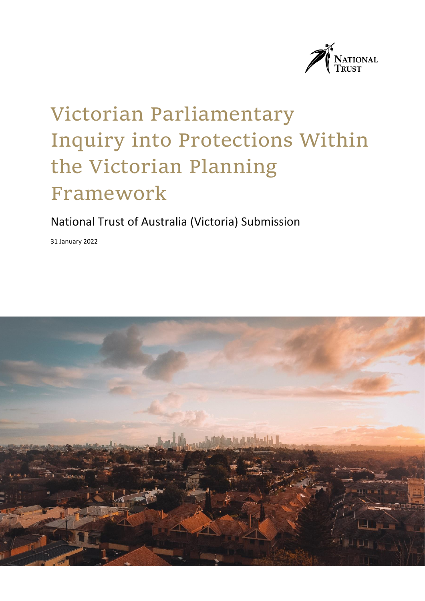

# Victorian Parliamentary Inquiry into Protections Within the Victorian Planning Framework

### National Trust of Australia (Victoria) Submission

31 January 2022

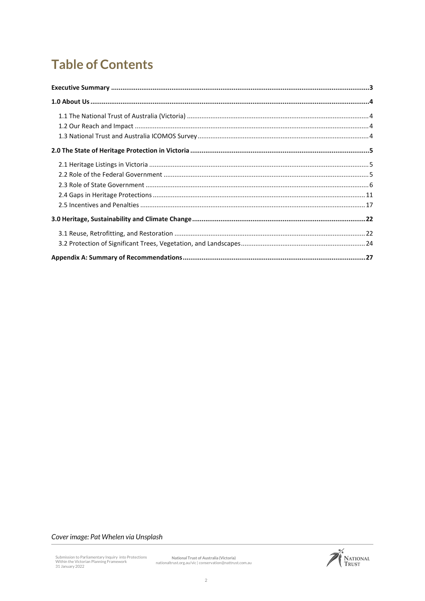# **Table of Contents**

#### Cover image: Pat Whelen via Unsplash

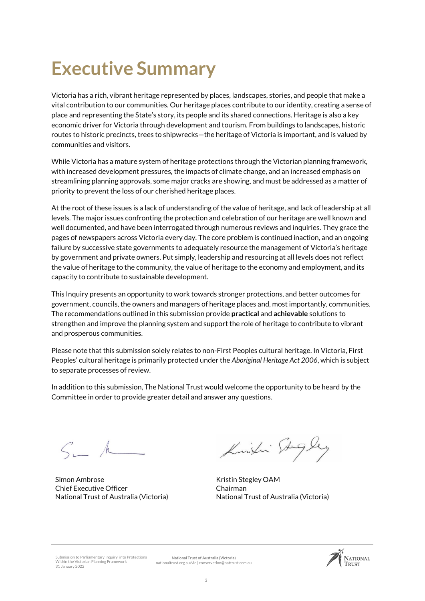# <span id="page-2-0"></span>**Executive Summary**

Victoria has a rich, vibrant heritage represented by places, landscapes, stories, and people that make a vital contribution to our communities. Our heritage places contribute to our identity, creating a sense of place and representing the State's story, its people and its shared connections. Heritage is also a key economic driver for Victoria through development and tourism. From buildings to landscapes, historic routes to historic precincts, trees to shipwrecks—the heritage of Victoria is important, and is valued by communities and visitors.

While Victoria has a mature system of heritage protections through the Victorian planning framework, with increased development pressures, the impacts of climate change, and an increased emphasis on streamlining planning approvals, some major cracks are showing, and must be addressed as a matter of priority to prevent the loss of our cherished heritage places.

At the root of these issues is a lack of understanding of the value of heritage, and lack of leadership at all levels. The major issues confronting the protection and celebration of our heritage are well known and well documented, and have been interrogated through numerous reviews and inquiries. They grace the pages of newspapers across Victoria every day. The core problem is continued inaction, and an ongoing failure by successive state governments to adequately resource the management of Victoria's heritage by government and private owners. Put simply, leadership and resourcing at all levels does not reflect the value of heritage to the community, the value of heritage to the economy and employment, and its capacity to contribute to sustainable development.

This Inquiry presents an opportunity to work towards stronger protections, and better outcomes for government, councils, the owners and managers of heritage places and, most importantly, communities. The recommendations outlined in this submission provide **practical** and **achievable** solutions to strengthen and improve the planning system and support the role of heritage to contribute to vibrant and prosperous communities.

Please note that this submission solely relates to non-First Peoples cultural heritage. In Victoria, First Peoples' cultural heritage is primarily protected under the *Aboriginal Heritage Act 2006*, which is subject to separate processes of review.

In addition to this submission, The National Trust would welcome the opportunity to be heard by the Committee in order to provide greater detail and answer any questions.

 $S_{i-1}$  /

Simon Ambrose Chief Executive Officer National Trust of Australia (Victoria)

Kingli Stigley

Kristin Stegley OAM Chairman National Trust of Australia (Victoria)

Submission to Parliamentary Inquiry into Protections Within the Victorian Planning Framework 31 January 2022

**National Trust of Australia (Victoria)** nationaltrust.org.au/vic | conservation@nattrust.com.au

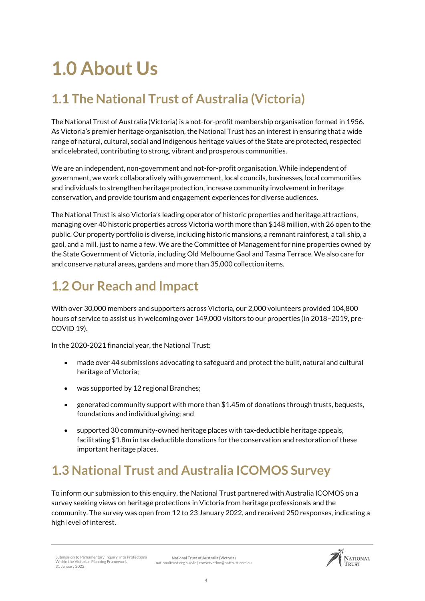# <span id="page-3-0"></span>**1.0 About Us**

## <span id="page-3-1"></span>**1.1 The National Trust of Australia (Victoria)**

The National Trust of Australia (Victoria) is a not-for-profit membership organisation formed in 1956. As Victoria's premier heritage organisation, the National Trust has an interest in ensuring that a wide range of natural, cultural, social and Indigenous heritage values of the State are protected, respected and celebrated, contributing to strong, vibrant and prosperous communities.

We are an independent, non-government and not-for-profit organisation. While independent of government, we work collaboratively with government, local councils, businesses, local communities and individuals to strengthen heritage protection, increase community involvement in heritage conservation, and provide tourism and engagement experiences for diverse audiences.

The National Trust is also Victoria's leading operator of historic properties and heritage attractions, managing over 40 historic properties across Victoria worth more than \$148 million, with 26 open to the public. Our property portfolio is diverse, including historic mansions, a remnant rainforest, a tall ship, a gaol, and a mill, just to name a few. We are the Committee of Management for nine properties owned by the State Government of Victoria, including Old Melbourne Gaol and Tasma Terrace. We also care for and conserve natural areas, gardens and more than 35,000 collection items.

# <span id="page-3-2"></span>**1.2 Our Reach and Impact**

With over 30,000 members and supporters across Victoria, our 2,000 volunteers provided 104,800 hours of service to assist us in welcoming over 149,000 visitors to our properties (in 2018–2019, pre-COVID 19).

In the 2020-2021 financial year, the National Trust:

- made over 44 submissions advocating to safeguard and protect the built, natural and cultural heritage of Victoria;
- was supported by 12 regional Branches:
- generated community support with more than \$1.45m of donations through trusts, bequests, foundations and individual giving; and
- supported 30 community-owned heritage places with tax-deductible heritage appeals, facilitating \$1.8m in tax deductible donations for the conservation and restoration of these important heritage places.

## <span id="page-3-3"></span>**1.3 National Trust and Australia ICOMOS Survey**

To inform our submission to this enquiry, the National Trust partnered with Australia ICOMOS on a survey seeking views on heritage protections in Victoria from heritage professionals and the community. The survey was open from 12 to 23 January 2022, and received 250 responses, indicating a high level of interest.

**National Trust of Australia (Victoria)** nationaltrust.org.au/vic | conservation@nattrust.com.au

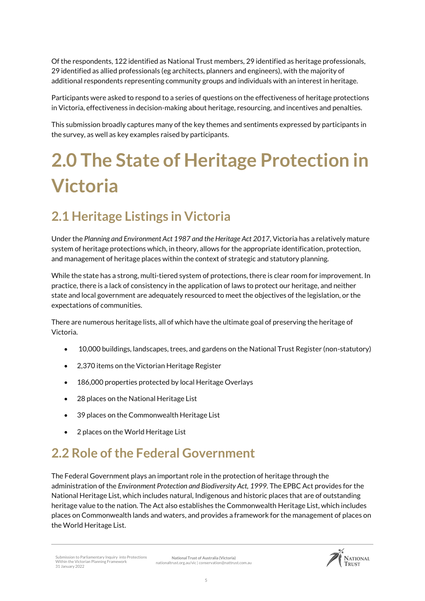Of the respondents, 122 identified as National Trust members, 29 identified as heritage professionals, 29 identified as allied professionals (eg architects, planners and engineers), with the majority of additional respondents representing community groups and individuals with an interest in heritage.

Participants were asked to respond to a series of questions on the effectiveness of heritage protections in Victoria, effectiveness in decision-making about heritage, resourcing, and incentives and penalties.

This submission broadly captures many of the key themes and sentiments expressed by participants in the survey, as well as key examples raised by participants.

# <span id="page-4-0"></span>**2.0 The State of Heritage Protection in Victoria**

# <span id="page-4-1"></span>**2.1 Heritage Listings in Victoria**

Under the *Planning and Environment Act 1987 and the Heritage Act 2017*, Victoria has a relatively mature system of heritage protections which, in theory, allows for the appropriate identification, protection, and management of heritage places within the context of strategic and statutory planning.

While the state has a strong, multi-tiered system of protections, there is clear room for improvement. In practice, there is a lack of consistency in the application of laws to protect our heritage, and neither state and local government are adequately resourced to meet the objectives of the legislation, or the expectations of communities.

There are numerous heritage lists, all of which have the ultimate goal of preserving the heritage of Victoria.

- 10,000 buildings, landscapes, trees, and gardens on the National Trust Register (non-statutory)
- 2,370 items on the Victorian Heritage Register
- 186,000 properties protected by local Heritage Overlays
- 28 places on the National Heritage List
- 39 places on the Commonwealth Heritage List
- 2 places on the World Heritage List

## <span id="page-4-2"></span>**2.2 Role of the Federal Government**

The Federal Government plays an important role in the protection of heritage through the administration of the *Environment Protection and Biodiversity Act, 1999.* The EPBC Act provides for the National Heritage List, which includes natural, Indigenous and historic places that are of outstanding heritage value to the nation. The Act also establishes the Commonwealth Heritage List, which includes places on Commonwealth lands and waters, and provides a framework for the management of places on the World Heritage List.

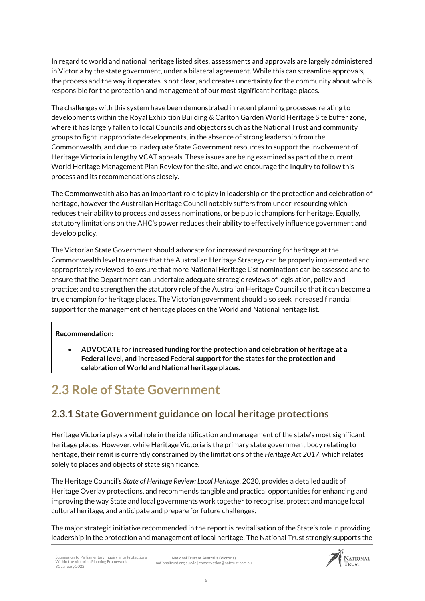In regard to world and national heritage listed sites, assessments and approvals are largely administered in Victoria by the state government, under a bilateral agreement. While this can streamline approvals, the process and the way it operates is not clear, and creates uncertainty for the community about who is responsible for the protection and management of our most significant heritage places.

The challenges with this system have been demonstrated in recent planning processes relating to developments within the Royal Exhibition Building & Carlton Garden World Heritage Site buffer zone, where it has largely fallen to local Councils and objectors such as the National Trust and community groups to fight inappropriate developments, in the absence of strong leadership from the Commonwealth, and due to inadequate State Government resources to support the involvement of Heritage Victoria in lengthy VCAT appeals. These issues are being examined as part of the current World Heritage Management Plan Review for the site, and we encourage the Inquiry to follow this process and its recommendations closely.

The Commonwealth also has an important role to play in leadership on the protection and celebration of heritage, however the Australian Heritage Council notably suffers from under-resourcing which reduces their ability to process and assess nominations, or be public champions for heritage. Equally, statutory limitations on the AHC's power reduces their ability to effectively influence government and develop policy.

The Victorian State Government should advocate for increased resourcing for heritage at the Commonwealth level to ensure that the Australian Heritage Strategy can be properly implemented and appropriately reviewed; to ensure that more National Heritage List nominations can be assessed and to ensure that the Department can undertake adequate strategic reviews of legislation, policy and practice; and to strengthen the statutory role of the Australian Heritage Council so that it can become a true champion for heritage places. The Victorian government should also seek increased financial support for the management of heritage places on the World and National heritage list.

#### **Recommendation:**

 **ADVOCATE for increased funding for the protection and celebration of heritage at a Federal level, and increased Federal support for the states for the protection and celebration of World and National heritage places.** 

## <span id="page-5-0"></span>**2.3 Role of State Government**

### **2.3.1 State Government guidance on local heritage protections**

Heritage Victoria plays a vital role in the identification and management of the state's most significant heritage places. However, while Heritage Victoria is the primary state government body relating to heritage, their remit is currently constrained by the limitations of the *Heritage Act 2017*, which relates solely to places and objects of state significance.

The Heritage Council's *State of Heritage Review: Local Heritage*, 2020, provides a detailed audit of Heritage Overlay protections, and recommends tangible and practical opportunities for enhancing and improving the way State and local governments work together to recognise, protect and manage local cultural heritage, and anticipate and prepare for future challenges.

The major strategic initiative recommended in the report is revitalisation of the State's role in providing leadership in the protection and management of local heritage. The National Trust strongly supports the

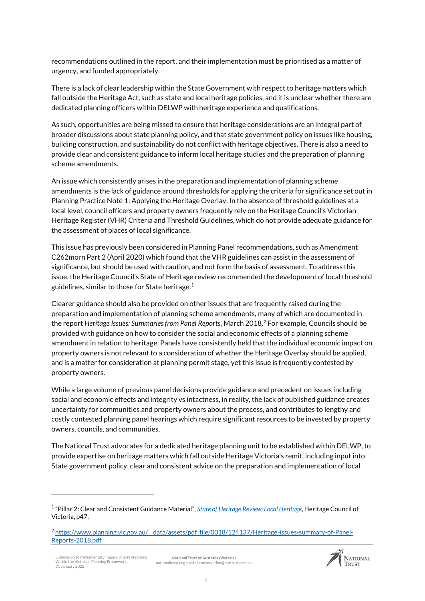recommendations outlined in the report, and their implementation must be prioritised as a matter of urgency, and funded appropriately.

There is a lack of clear leadership within the State Government with respect to heritage matters which fall outside the Heritage Act, such as state and local heritage policies, and it is unclear whether there are dedicated planning officers within DELWP with heritage experience and qualifications.

As such, opportunities are being missed to ensure that heritage considerations are an integral part of broader discussions about state planning policy, and that state government policy on issues like housing, building construction, and sustainability do not conflict with heritage objectives. There is also a need to provide clear and consistent guidance to inform local heritage studies and the preparation of planning scheme amendments.

An issue which consistently arises in the preparation and implementation of planning scheme amendments is the lack of guidance around thresholds for applying the criteria for significance set out in Planning Practice Note 1: Applying the Heritage Overlay. In the absence of threshold guidelines at a local level, council officers and property owners frequently rely on the Heritage Council's Victorian Heritage Register (VHR) Criteria and Threshold Guidelines, which do not provide adequate guidance for the assessment of places of local significance.

This issue has previously been considered in Planning Panel recommendations, such as Amendment C262morn Part 2 (April 2020) which found that the VHR guidelines can assist in the assessment of significance, but should be used with caution, and not form the basis of assessment. To address this issue, the Heritage Council's State of Heritage review recommended the development of local threshold guidelines, similar to those for State heritage.<sup>1</sup>

Clearer guidance should also be provided on other issues that are frequently raised during the preparation and implementation of planning scheme amendments, many of which are documented in the report *Heritage Issues: Summaries from Panel Reports*, March 2018. <sup>2</sup> For example, Councils should be provided with guidance on how to consider the social and economic effects of a planning scheme amendment in relation to heritage. Panels have consistently held that the individual economic impact on property owners is not relevant to a consideration of whether the Heritage Overlay should be applied, and is a matter for consideration at planning permit stage, yet this issue is frequently contested by property owners.

While a large volume of previous panel decisions provide guidance and precedent on issues including social and economic effects and integrity vs intactness, in reality, the lack of published guidance creates uncertainty for communities and property owners about the process, and contributes to lengthy and costly contested planning panel hearings which require significant resources to be invested by property owners, councils, and communities.

The National Trust advocates for a dedicated heritage planning unit to be established within DELWP, to provide expertise on heritage matters which fall outside Heritage Victoria's remit, including input into State government policy, clear and consistent advice on the preparation and implementation of local

.

**National Trust of Australia (Victoria)** nationaltrust.org.au/vic | conservation@nattrust.com.au



<sup>1</sup> "Pillar 2: Clear and Consistent Guidance Material", *[State of Heritage Review: Local Heritage](https://heritagecouncil.vic.gov.au/wp-content/uploads/2020/12/HCV-StateofHeritageReview-LocalHeritageReport2020.pdf)*, Heritage Council of Victoria, p47.

<sup>2</sup> [https://www.planning.vic.gov.au/\\_\\_data/assets/pdf\\_file/0018/124137/Heritage-issues-summary-of-Panel-](https://www.planning.vic.gov.au/__data/assets/pdf_file/0018/124137/Heritage-issues-summary-of-Panel-Reports-2018.pdf)[Reports-2018.pdf](https://www.planning.vic.gov.au/__data/assets/pdf_file/0018/124137/Heritage-issues-summary-of-Panel-Reports-2018.pdf)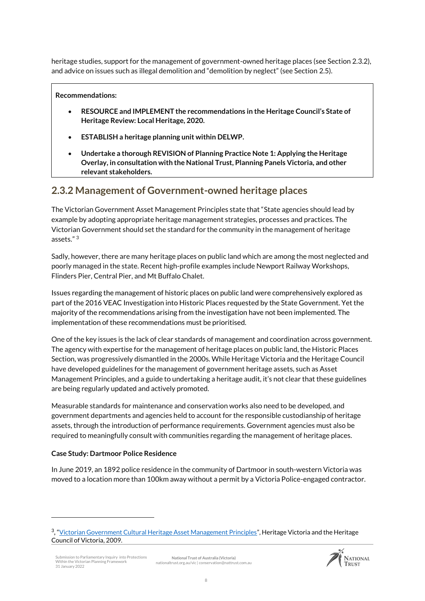heritage studies, support for the management of government-owned heritage places (see Section 2.3.2), and advice on issues such as illegal demolition and "demolition by neglect" (see Section 2.5).

#### **Recommendations:**

- **RESOURCE and IMPLEMENT the recommendations in the Heritage Council's State of Heritage Review: Local Heritage, 2020.**
- **ESTABLISH a heritage planning unit within DELWP.**
- **Undertake a thorough REVISION of Planning Practice Note 1: Applying the Heritage Overlay, in consultation with the National Trust, Planning Panels Victoria, and other relevant stakeholders.**

### **2.3.2 Management of Government-owned heritage places**

The Victorian Government Asset Management Principles state that "State agencies should lead by example by adopting appropriate heritage management strategies, processes and practices. The Victorian Government should set the standard for the community in the management of heritage assets." <sup>3</sup>

Sadly, however, there are many heritage places on public land which are among the most neglected and poorly managed in the state. Recent high-profile examples include Newport Railway Workshops, Flinders Pier, Central Pier, and Mt Buffalo Chalet.

Issues regarding the management of historic places on public land were comprehensively explored as part of the 2016 VEAC Investigation into Historic Places requested by the State Government. Yet the majority of the recommendations arising from the investigation have not been implemented. The implementation of these recommendations must be prioritised.

One of the key issues is the lack of clear standards of management and coordination across government. The agency with expertise for the management of heritage places on public land, the Historic Places Section, was progressively dismantled in the 2000s. While Heritage Victoria and the Heritage Council have developed guidelines for the management of government heritage assets, such as Asset Management Principles, and a guide to undertaking a heritage audit, it's not clear that these guidelines are being regularly updated and actively promoted.

Measurable standards for maintenance and conservation works also need to be developed, and government departments and agencies held to account for the responsible custodianship of heritage assets, through the introduction of performance requirements. Government agencies must also be required to meaningfully consult with communities regarding the management of heritage places.

#### **Case Study: Dartmoor Police Residence**

.

In June 2019, an 1892 police residence in the community of Dartmoor in south-western Victoria was moved to a location more than 100km away without a permit by a Victoria Police-engaged contractor.



<sup>&</sup>lt;sup>3</sup>, "<u>[Victorian Government Cultural Heritage Asset Management Principles](https://www.heritage.vic.gov.au/__data/assets/pdf_file/0031/512959/Victorian-Government-Cultural-Heritage-Asset-Management-Principles.pdf)</u>", Heritage Victoria and the Heritage Council of Victoria, 2009.

iubmission to Parliamentary Inquiry into Protections Within the Victorian Planning Framework 31 January 2022 **National Trust of Australia (Victoria)** nationaltrust.org.au/vic | conservation@nattrust.com.au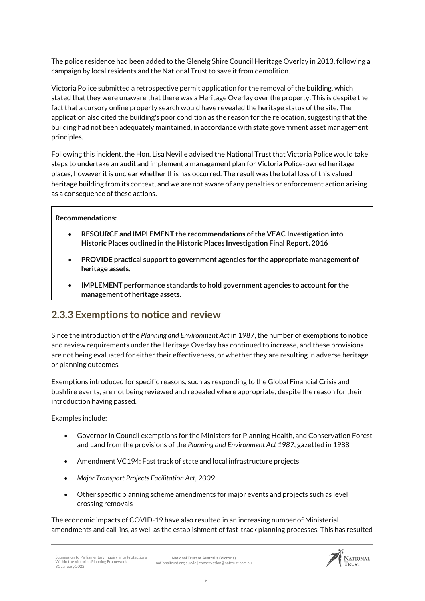The police residence had been added to the Glenelg Shire Council Heritage Overlay in 2013, following a campaign by local residents and the National Trust to save it from demolition.

Victoria Police submitted a retrospective permit application for the removal of the building, which stated that they were unaware that there was a Heritage Overlay over the property. This is despite the fact that a cursory online property search would have revealed the heritage status of the site. The application also cited the building's poor condition as the reason for the relocation, suggesting that the building had not been adequately maintained, in accordance with state government asset management principles.

Following this incident, the Hon. Lisa Neville advised the National Trust that Victoria Police would take steps to undertake an audit and implement a management plan for Victoria Police-owned heritage places, however it is unclear whether this has occurred. The result was the total loss of this valued heritage building from its context, and we are not aware of any penalties or enforcement action arising as a consequence of these actions.

#### **Recommendations:**

- **RESOURCE and IMPLEMENT the recommendations of the VEAC Investigation into Historic Places outlined in the Historic Places Investigation Final Report, 2016**
- **PROVIDE practical support to government agencies for the appropriate management of heritage assets.**
- **IMPLEMENT performance standards to hold government agencies to account for the management of heritage assets.**

### **2.3.3 Exemptions to notice and review**

Since the introduction of the *Planning and Environment Act* in 1987, the number of exemptions to notice and review requirements under the Heritage Overlay has continued to increase, and these provisions are not being evaluated for either their effectiveness, or whether they are resulting in adverse heritage or planning outcomes.

Exemptions introduced for specific reasons, such as responding to the Global Financial Crisis and bushfire events, are not being reviewed and repealed where appropriate, despite the reason for their introduction having passed.

Examples include:

- Governor in Council exemptions for the Ministers for Planning Health, and Conservation Forest and Land from the provisions of the *Planning and Environment Act 1987*, gazetted in 1988
- Amendment VC194: Fast track of state and local infrastructure projects
- *Major Transport Projects Facilitation Act, 2009*
- Other specific planning scheme amendments for major events and projects such as level crossing removals

The economic impacts of COVID-19 have also resulted in an increasing number of Ministerial amendments and call-ins, as well as the establishment of fast-track planning processes. This has resulted

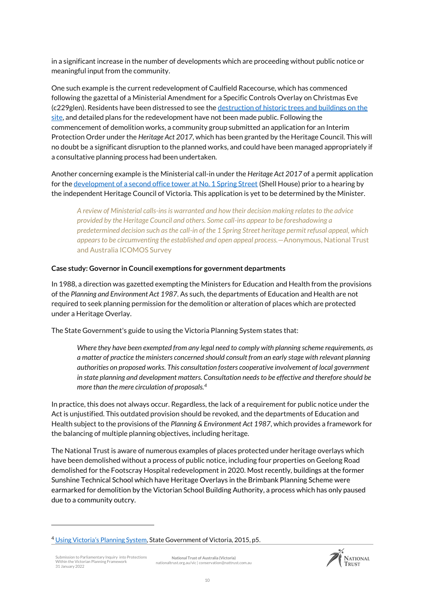in a significant increase in the number of developments which are proceeding without public notice or meaningful input from the community.

One such example is the current redevelopment of Caulfield Racecourse, which has commenced following the gazettal of a Ministerial Amendment for a Specific Controls Overlay on Christmas Eve (c229glen). Residents have been distressed to see th[e destruction of historic trees and buildings on the](https://www.theage.com.au/national/victoria/heritage-trees-destroyed-in-caulfield-racecourse-redevelopment-20220120-p59pqv.html)  [site,](https://www.theage.com.au/national/victoria/heritage-trees-destroyed-in-caulfield-racecourse-redevelopment-20220120-p59pqv.html) and detailed plans for the redevelopment have not been made public. Following the commencement of demolition works, a community group submitted an application for an Interim Protection Order under the *Heritage Act 2017*, which has been granted by the Heritage Council. This will no doubt be a significant disruption to the planned works, and could have been managed appropriately if a consultative planning process had been undertaken.

Another concerning example is the Ministerial call-in under the *Heritage Act 2017* of a permit application for th[e development of a second office tower at No. 1 Spring Street](https://www.theage.com.au/national/victoria/minister-s-extraordinary-move-on-heritage-listed-melbourne-landmark-20211214-p59hck.html) (Shell House) prior to a hearing by the independent Heritage Council of Victoria. This application is yet to be determined by the Minister.

*A review of Ministerial calls-ins is warranted and how their decision making relates to the advice provided by the Heritage Council and others. Some call-ins appear to be foreshadowing a predetermined decision such as the call-in of the 1 Spring Street heritage permit refusal appeal, which appears to be circumventing the established and open appeal process.*—Anonymous, National Trust and Australia ICOMOS Survey

#### **Case study: Governor in Council exemptions for government departments**

In 1988, a direction was gazetted exempting the Ministers for Education and Health from the provisions of the *Planning and Environment Act 1987*. As such, the departments of Education and Health are not required to seek planning permission for the demolition or alteration of places which are protected under a Heritage Overlay.

The State Government's guide to using the Victoria Planning System states that:

*Where they have been exempted from any legal need to comply with planning scheme requirements, as a matter of practice the ministers concerned should consult from an early stage with relevant planning authorities on proposed works. This consultation fosters cooperative involvement of local government in state planning and development matters. Consultation needs to be effective and therefore should be more than the mere circulation of proposals.<sup>4</sup>*

In practice, this does not always occur. Regardless, the lack of a requirement for public notice under the Act is unjustified. This outdated provision should be revoked, and the departments of Education and Health subject to the provisions of the *Planning & Environment Act 1987*, which provides a framework for the balancing of multiple planning objectives, including heritage.

The National Trust is aware of numerous examples of places protected under heritage overlays which have been demolished without a process of public notice, including four properties on Geelong Road demolished for the Footscray Hospital redevelopment in 2020. Most recently, buildings at the former Sunshine Technical School which have Heritage Overlays in the Brimbank Planning Scheme were earmarked for demolition by the Victorian School Building Authority, a process which has only paused due to a community outcry.

.



<sup>&</sup>lt;sup>4</sup> [Using Victoria's Planning System](https://www.planning.vic.gov.au/__data/assets/pdf_file/0017/95012/Using-Victorias-Planning-System-2015.pdf), State Government of Victoria, 2015, p5.

Submission to Parliamentary Inquiry into Protections Within the Victorian Planning Framework 31 January 2022 **National Trust of Australia (Victoria)** nationaltrust.org.au/vic | conservation@nattrust.com.au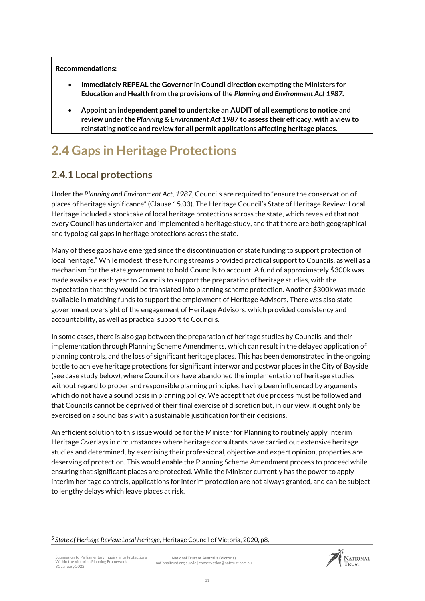**Recommendations:** 

- **Immediately REPEAL the Governor in Council direction exempting the Ministers for Education and Health from the provisions of the** *Planning and Environment Act 1987.*
- **Appoint an independent panel to undertake an AUDIT of all exemptions to notice and review under the** *Planning & Environment Act 1987* **to assess their efficacy, with a view to reinstating notice and review for all permit applications affecting heritage places.**

# <span id="page-10-0"></span>**2.4 Gaps in Heritage Protections**

### **2.4.1 Local protections**

Under the *Planning and Environment Act, 1987*, Councils are required to "ensure the conservation of places of heritage significance" (Clause 15.03). The Heritage Council's State of Heritage Review: Local Heritage included a stocktake of local heritage protections across the state, which revealed that not every Council has undertaken and implemented a heritage study, and that there are both geographical and typological gaps in heritage protections across the state.

Many of these gaps have emerged since the discontinuation of state funding to support protection of local heritage.<sup>5</sup> While modest, these funding streams provided practical support to Councils, as well as a mechanism for the state government to hold Councils to account. A fund of approximately \$300k was made available each year to Councils to support the preparation of heritage studies, with the expectation that they would be translated into planning scheme protection. Another \$300k was made available in matching funds to support the employment of Heritage Advisors. There was also state government oversight of the engagement of Heritage Advisors, which provided consistency and accountability, as well as practical support to Councils.

In some cases, there is also gap between the preparation of heritage studies by Councils, and their implementation through Planning Scheme Amendments, which can result in the delayed application of planning controls, and the loss of significant heritage places. This has been demonstrated in the ongoing battle to achieve heritage protections for significant interwar and postwar places in the City of Bayside (see case study below), where Councillors have abandoned the implementation of heritage studies without regard to proper and responsible planning principles, having been influenced by arguments which do not have a sound basis in planning policy. We accept that due process must be followed and that Councils cannot be deprived of their final exercise of discretion but, in our view, it ought only be exercised on a sound basis with a sustainable justification for their decisions.

An efficient solution to this issue would be for the Minister for Planning to routinely apply Interim Heritage Overlays in circumstances where heritage consultants have carried out extensive heritage studies and determined, by exercising their professional, objective and expert opinion, properties are deserving of protection. This would enable the Planning Scheme Amendment process to proceed while ensuring that significant places are protected. While the Minister currently has the power to apply interim heritage controls, applications for interim protection are not always granted, and can be subject to lengthy delays which leave places at risk.

.



<sup>5</sup> *State of Heritage Review: Local Heritage*, Heritage Council of Victoria, 2020, p8.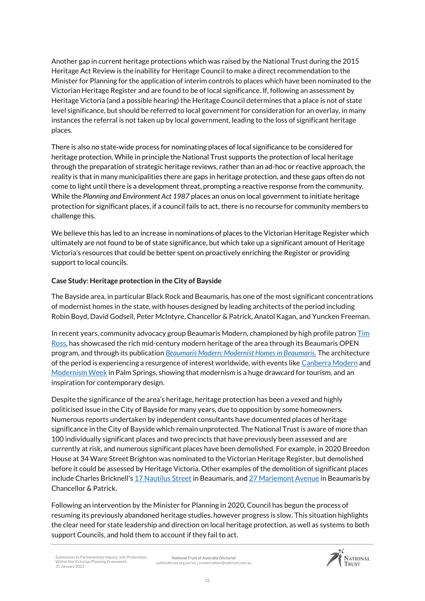Another gap in current heritage protections which was raised by the National Trust during the 2015 Heritage Act Review is the inability for Heritage Council to make a direct recommendation to the Minister for Planning for the application of interim controls to places which have been nominated to the Victorian Heritage Register and are found to be of local significance. If, following an assessment by Heritage Victoria (and a possible hearing) the Heritage Council determines that a place is not of state level significance, but should be referred to local government for consideration for an overlay, in many instances the referral is not taken up by local government, leading to the loss of significant heritage places.

There is also no state-wide process for nominating places of local significance to be considered for heritage protection. While in principle the National Trust supports the protection of local heritage through the preparation of strategic heritage reviews, rather than an ad-hoc or reactive approach, the reality is that in many municipalities there are gaps in heritage protection, and these gaps often do not come to light until there is a development threat, prompting a reactive response from the community. While the *Planning and Environment Act 1987* places an onus on local government to initiate heritage protection for significant places, if a council fails to act, there is no recourse for community members to challenge this.

We believe this has led to an increase in nominations of places to the Victorian Heritage Register which ultimately are not found to be of state significance, but which take up a significant amount of Heritage Victoria's resources that could be better spent on proactively enriching the Register or providing support to local councils.

#### **Case Study: Heritage protection in the City of Bayside**

The Bayside area, in particular Black Rock and Beaumaris, has one of the most significant concentrations of modernist homes in the state, with houses designed by leading architects of the period including Robin Boyd, David Godsell, Peter McIntyre, Chancellor & Patrick, Anatol Kagan, and Yuncken Freeman.

In recent years, community advocacy group Beaumaris Modern, championed by high profile patron [Tim](https://timross.com.au/)  [Ross,](https://timross.com.au/) has showcased the rich mid-century modern heritage of the area through its Beaumaris OPEN program, and through its publication *[Beaumaris Modern: Modernist Homes in Beaumaris.](https://beaumarismodern.com.au/book-2/)* The architecture of the period is experiencing a resurgence of interest worldwide, with events lik[e Canberra Modern](https://canberramodern.com/) and [Modernism Week](https://www.modernismweek.com/) in Palm Springs, showing that modernism is a huge drawcard for tourism, and an inspiration for contemporary design.

Despite the significance of the area's heritage, heritage protection has been a vexed and highly politicised issue in the City of Bayside for many years, due to opposition by some homeowners. Numerous reports undertaken by independent consultants have documented places of heritage significance in the City of Bayside which remain unprotected. The National Trust is aware of more than 100 individually significant places and two precincts that have previously been assessed and are currently at risk, and numerous significant places have been demolished. For example, in 2020 Breedon House at 34 Ware Street Brighton was nominated to the Victorian Heritage Register, but demolished before it could be assessed by Heritage Victoria. Other examples of the demolition of significant places include Charles Bricknell'[s 17 Nautilus Street](https://www.realestate.com.au/news/beaumaris-midcentury-marvel-facing-demolition-after-council-vote/) in Beaumaris, an[d 27 Mariemont Avenue](https://beaumarismodern.com.au/another-significant-beauy-home-destined-for-demolition/) in Beaumaris by Chancellor & Patrick.

Following an intervention by the Minister for Planning in 2020, Council has begun the process of resuming its previously abandoned heritage studies, however progress is slow. This situation highlights the clear need for state leadership and direction on local heritage protection, as well as systems to both support Councils, and hold them to account if they fail to act.

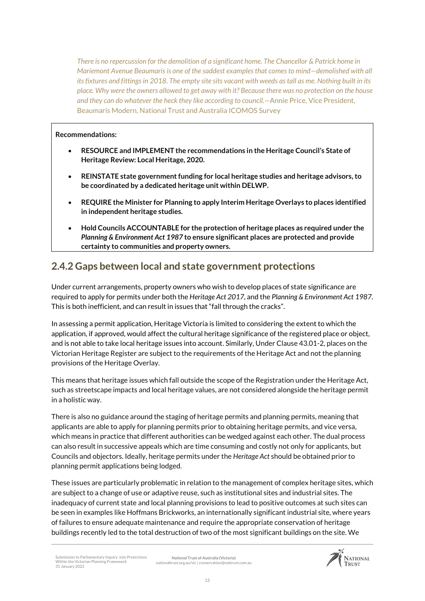*There is no repercussion for the demolition of a significant home. The Chancellor & Patrick home in Mariemont Avenue Beaumaris is one of the saddest examples that comes to mind—demolished with all its fixtures and fittings in 2018. The empty site sits vacant with weeds as tall as me. Nothing built in its place. Why were the owners allowed to get away with it? Because there was no protection on the house and they can do whatever the heck they like according to council.—*Annie Price, Vice President, Beaumaris Modern, National Trust and Australia ICOMOS Survey

#### **Recommendations:**

- **RESOURCE and IMPLEMENT the recommendations in the Heritage Council's State of Heritage Review: Local Heritage, 2020.**
- **REINSTATE state government funding for local heritage studies and heritage advisors, to be coordinated by a dedicated heritage unit within DELWP.**
- **REQUIRE the Minister for Planning to apply Interim Heritage Overlays to places identified in independent heritage studies.**
- **Hold Councils ACCOUNTABLE for the protection of heritage places as required under the**  *Planning & Environment Act 1987* **to ensure significant places are protected and provide certainty to communities and property owners.**

### **2.4.2 Gaps between local and state government protections**

Under current arrangements, property owners who wish to develop places of state significance are required to apply for permits under both the *Heritage Act 2017*, and the *Planning & Environment Act 1987.* This is both inefficient, and can result in issues that "fall through the cracks".

In assessing a permit application, Heritage Victoria is limited to considering the extent to which the application, if approved, would affect the cultural heritage significance of the registered place or object, and is not able to take local heritage issues into account. Similarly, Under Clause 43.01-2, places on the Victorian Heritage Register are subject to the requirements of the Heritage Act and not the planning provisions of the Heritage Overlay.

This means that heritage issues which fall outside the scope of the Registration under the Heritage Act, such as streetscape impacts and local heritage values, are not considered alongside the heritage permit in a holistic way.

There is also no guidance around the staging of heritage permits and planning permits, meaning that applicants are able to apply for planning permits prior to obtaining heritage permits, and vice versa, which means in practice that different authorities can be wedged against each other. The dual process can also result in successive appeals which are time consuming and costly not only for applicants, but Councils and objectors. Ideally, heritage permits under the *Heritage Act* should be obtained prior to planning permit applications being lodged.

These issues are particularly problematic in relation to the management of complex heritage sites, which are subject to a change of use or adaptive reuse, such as institutional sites and industrial sites. The inadequacy of current state and local planning provisions to lead to positive outcomes at such sites can be seen in examples like Hoffmans Brickworks, an internationally significant industrial site, where years of failures to ensure adequate maintenance and require the appropriate conservation of heritage buildings recently led to the total destruction of two of the most significant buildings on the site. We

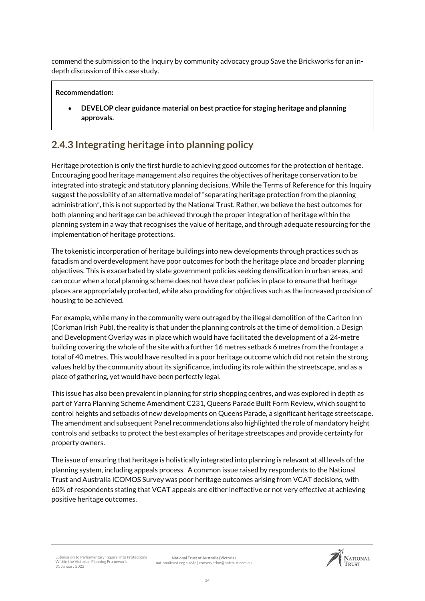commend the submission to the Inquiry by community advocacy group Save the Brickworks for an indepth discussion of this case study.

#### **Recommendation:**

 **DEVELOP clear guidance material on best practice for staging heritage and planning approvals.**

### **2.4.3 Integrating heritage into planning policy**

Heritage protection is only the first hurdle to achieving good outcomes for the protection of heritage. Encouraging good heritage management also requires the objectives of heritage conservation to be integrated into strategic and statutory planning decisions. While the Terms of Reference for this Inquiry suggest the possibility of an alternative model of "separating heritage protection from the planning administration", this is not supported by the National Trust. Rather, we believe the best outcomes for both planning and heritage can be achieved through the proper integration of heritage within the planning system in a way that recognises the value of heritage, and through adequate resourcing for the implementation of heritage protections.

The tokenistic incorporation of heritage buildings into new developments through practices such as facadism and overdevelopment have poor outcomes for both the heritage place and broader planning objectives. This is exacerbated by state government policies seeking densification in urban areas, and can occur when a local planning scheme does not have clear policies in place to ensure that heritage places are appropriately protected, while also providing for objectives such as the increased provision of housing to be achieved.

For example, while many in the community were outraged by the illegal demolition of the Carlton Inn (Corkman Irish Pub), the reality is that under the planning controls at the time of demolition, a Design and Development Overlay was in place which would have facilitated the development of a 24-metre building covering the whole of the site with a further 16 metres setback 6 metres from the frontage; a total of 40 metres. This would have resulted in a poor heritage outcome which did not retain the strong values held by the community about its significance, including its role within the streetscape, and as a place of gathering, yet would have been perfectly legal.

This issue has also been prevalent in planning for strip shopping centres, and was explored in depth as part of Yarra Planning Scheme Amendment C231, Queens Parade Built Form Review, which sought to control heights and setbacks of new developments on Queens Parade, a significant heritage streetscape. The amendment and subsequent Panel recommendations also highlighted the role of mandatory height controls and setbacks to protect the best examples of heritage streetscapes and provide certainty for property owners.

The issue of ensuring that heritage is holistically integrated into planning is relevant at all levels of the planning system, including appeals process. A common issue raised by respondents to the National Trust and Australia ICOMOS Survey was poor heritage outcomes arising from VCAT decisions, with 60% of respondents stating that VCAT appeals are either ineffective or not very effective at achieving positive heritage outcomes.

Submission to Parliamentary Inquiry into Protections Within the Victorian Planning Framework 31 January 2022 **National Trust of Australia (Victoria)** nationaltrust.org.au/vic | conservation@nattrust.com.au

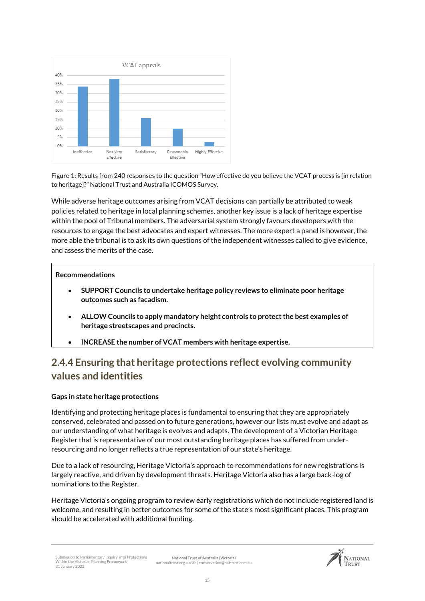

Figure 1: Results from 240 responses to the question "How effective do you believe the VCAT process is [in relation to heritage]?" National Trust and Australia ICOMOS Survey.

While adverse heritage outcomes arising from VCAT decisions can partially be attributed to weak policies related to heritage in local planning schemes, another key issue is a lack of heritage expertise within the pool of Tribunal members. The adversarial system strongly favours developers with the resources to engage the best advocates and expert witnesses. The more expert a panel is however, the more able the tribunal is to ask its own questions of the independent witnesses called to give evidence, and assess the merits of the case.

#### **Recommendations**

- **SUPPORT Councils to undertake heritage policy reviews to eliminate poor heritage outcomes such as facadism.**
- **ALLOW Councils to apply mandatory height controls to protect the best examples of heritage streetscapes and precincts.**
- **INCREASE the number of VCAT members with heritage expertise.**

### **2.4.4 Ensuring that heritage protections reflect evolving community values and identities**

#### **Gaps in state heritage protections**

Identifying and protecting heritage places is fundamental to ensuring that they are appropriately conserved, celebrated and passed on to future generations, however our lists must evolve and adapt as our understanding of what heritage is evolves and adapts. The development of a Victorian Heritage Register that is representative of our most outstanding heritage places has suffered from underresourcing and no longer reflects a true representation of our state's heritage.

Due to a lack of resourcing, Heritage Victoria's approach to recommendations for new registrations is largely reactive, and driven by development threats. Heritage Victoria also has a large back-log of nominations to the Register.

Heritage Victoria's ongoing program to review early registrations which do not include registered land is welcome, and resulting in better outcomes for some of the state's most significant places. This program should be accelerated with additional funding.

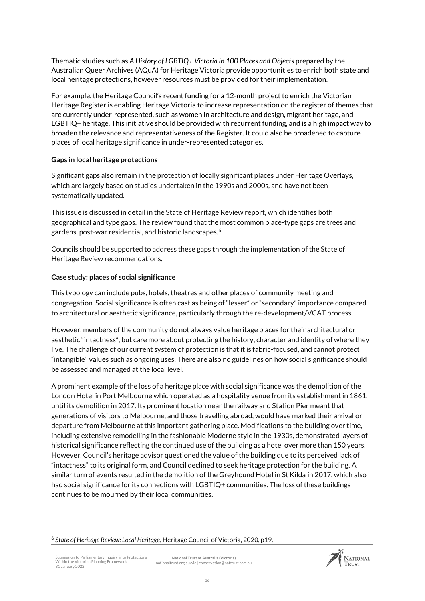Thematic studies such as *A History of LGBTIQ+ Victoria in 100 Places and Objects* prepared by the Australian Queer Archives (AQuA) for Heritage Victoria provide opportunities to enrich both state and local heritage protections, however resources must be provided for their implementation.

For example, the Heritage Council's recent funding for a 12-month project to enrich the Victorian Heritage Register is enabling Heritage Victoria to increase representation on the register of themes that are currently under-represented, such as women in architecture and design, migrant heritage, and LGBTIQ+ heritage. This initiative should be provided with recurrent funding, and is a high impact way to broaden the relevance and representativeness of the Register. It could also be broadened to capture places of local heritage significance in under-represented categories.

#### **Gaps in local heritage protections**

Significant gaps also remain in the protection of locally significant places under Heritage Overlays, which are largely based on studies undertaken in the 1990s and 2000s, and have not been systematically updated.

This issue is discussed in detail in the State of Heritage Review report, which identifies both geographical and type gaps. The review found that the most common place-type gaps are trees and gardens, post-war residential, and historic landscapes.<sup>6</sup>

Councils should be supported to address these gaps through the implementation of the State of Heritage Review recommendations.

#### **Case study: places of social significance**

This typology can include pubs, hotels, theatres and other places of community meeting and congregation. Social significance is often cast as being of "lesser" or "secondary" importance compared to architectural or aesthetic significance, particularly through the re-development/VCAT process.

However, members of the community do not always value heritage places for their architectural or aesthetic "intactness", but care more about protecting the history, character and identity of where they live. The challenge of our current system of protection is that it is fabric-focused, and cannot protect "intangible" values such as ongoing uses. There are also no guidelines on how social significance should be assessed and managed at the local level.

A prominent example of the loss of a heritage place with social significance was the demolition of the London Hotel in Port Melbourne which operated as a hospitality venue from its establishment in 1861, until its demolition in 2017. Its prominent location near the railway and Station Pier meant that generations of visitors to Melbourne, and those travelling abroad, would have marked their arrival or departure from Melbourne at this important gathering place. Modifications to the building over time, including extensive remodelling in the fashionable Moderne style in the 1930s, demonstrated layers of historical significance reflecting the continued use of the building as a hotel over more than 150 years. However, Council's heritage advisor questioned the value of the building due to its perceived lack of "intactness" to its original form, and Council declined to seek heritage protection for the building. A similar turn of events resulted in the demolition of the Greyhound Hotel in St Kilda in 2017, which also had social significance for its connections with LGBTIQ+ communities. The loss of these buildings continues to be mourned by their local communities.

.



<sup>6</sup> *State of Heritage Review: Local Heritage*, Heritage Council of Victoria, 2020, p19.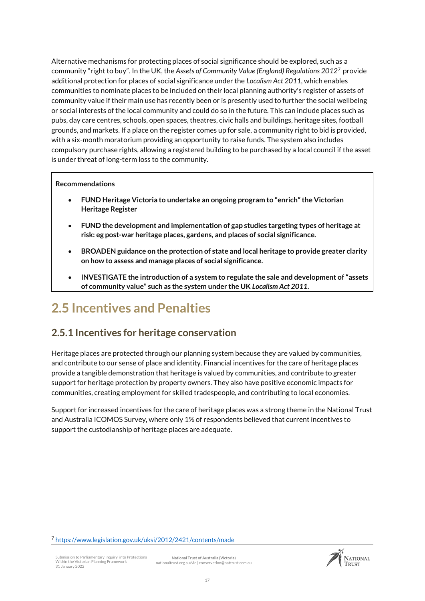Alternative mechanisms for protecting places of social significance should be explored, such as a community "right to buy". In the UK, the *Assets of Community Value (England) Regulations 2012*<sup>7</sup> provide additional protection for places of social significance under the *Localism Act 2011*, which enables communities to nominate places to be included on their local planning authority's register of assets of community value if their main use has recently been or is presently used to further the social wellbeing or social interests of the local community and could do so in the future. This can include places such as pubs, day care centres, schools, open spaces, theatres, civic halls and buildings, heritage sites, football grounds, and markets. If a place on the register comes up for sale, a community right to bid is provided, with a six-month moratorium providing an opportunity to raise funds. The system also includes compulsory purchase rights, allowing a registered building to be purchased by a local council if the asset is under threat of long-term loss to the community.

#### **Recommendations**

- **FUND Heritage Victoria to undertake an ongoing program to "enrich" the Victorian Heritage Register**
- **FUND the development and implementation of gap studies targeting types of heritage at risk: eg post-war heritage places, gardens, and places of social significance.**
- **BROADEN guidance on the protection of state and local heritage to provide greater clarity on how to assess and manage places of social significance.**
- **INVESTIGATE the introduction of a system to regulate the sale and development of "assets of community value" such as the system under the UK** *Localism Act 2011***.**

## <span id="page-16-0"></span>**2.5 Incentives and Penalties**

### **2.5.1 Incentives for heritage conservation**

Heritage places are protected through our planning system because they are valued by communities, and contribute to our sense of place and identity. Financial incentives for the care of heritage places provide a tangible demonstration that heritage is valued by communities, and contribute to greater support for heritage protection by property owners. They also have positive economic impacts for communities, creating employment for skilled tradespeople, and contributing to local economies.

Support for increased incentives for the care of heritage places was a strong theme in the National Trust and Australia ICOMOS Survey, where only 1% of respondents believed that current incentives to support the custodianship of heritage places are adequate.

iubmission to Parliamentary Inquiry into Protections Within the Victorian Planning Framework 31 January 2022

.

**National Trust of Australia (Victoria)** nationaltrust.org.au/vic | conservation@nattrust.com.au



<sup>7</sup> <https://www.legislation.gov.uk/uksi/2012/2421/contents/made>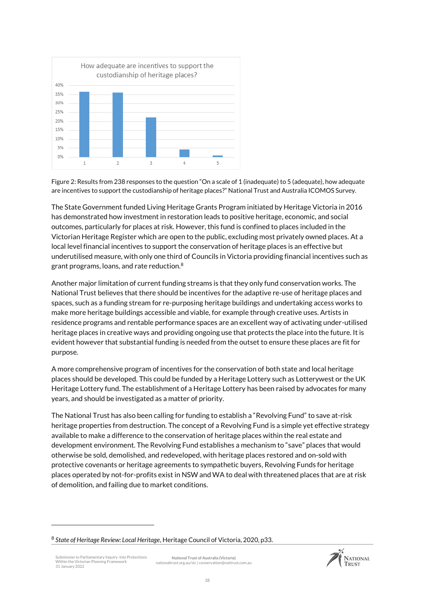

Figure 2: Results from 238 responses to the question "On a scale of 1 (inadequate) to 5 (adequate), how adequate are incentives to support the custodianship of heritage places?" National Trust and Australia ICOMOS Survey.

The State Government funded Living Heritage Grants Program initiated by Heritage Victoria in 2016 has demonstrated how investment in restoration leads to positive heritage, economic, and social outcomes, particularly for places at risk. However, this fund is confined to places included in the Victorian Heritage Register which are open to the public, excluding most privately owned places. At a local level financial incentives to support the conservation of heritage places is an effective but underutilised measure, with only one third of Councils in Victoria providing financial incentives such as grant programs, loans, and rate reduction.<sup>8</sup>

Another major limitation of current funding streams is that they only fund conservation works. The National Trust believes that there should be incentives for the adaptive re-use of heritage places and spaces, such as a funding stream for re-purposing heritage buildings and undertaking access works to make more heritage buildings accessible and viable, for example through creative uses. Artists in residence programs and rentable performance spaces are an excellent way of activating under-utilised heritage places in creative ways and providing ongoing use that protects the place into the future. It is evident however that substantial funding is needed from the outset to ensure these places are fit for purpose.

A more comprehensive program of incentives for the conservation of both state and local heritage places should be developed. This could be funded by a Heritage Lottery such as Lotterywest or the UK Heritage Lottery fund. The establishment of a Heritage Lottery has been raised by advocates for many years, and should be investigated as a matter of priority.

The National Trust has also been calling for funding to establish a "Revolving Fund" to save at-risk heritage properties from destruction. The concept of a Revolving Fund is a simple yet effective strategy available to make a difference to the conservation of heritage places within the real estate and development environment. The Revolving Fund establishes a mechanism to "save" places that would otherwise be sold, demolished, and redeveloped, with heritage places restored and on-sold with protective covenants or heritage agreements to sympathetic buyers, Revolving Funds for heritage places operated by not-for-profits exist in NSW and WA to deal with threatened places that are at risk of demolition, and failing due to market conditions.

.



<sup>8</sup> *State of Heritage Review: Local Heritage*, Heritage Council of Victoria, 2020, p33.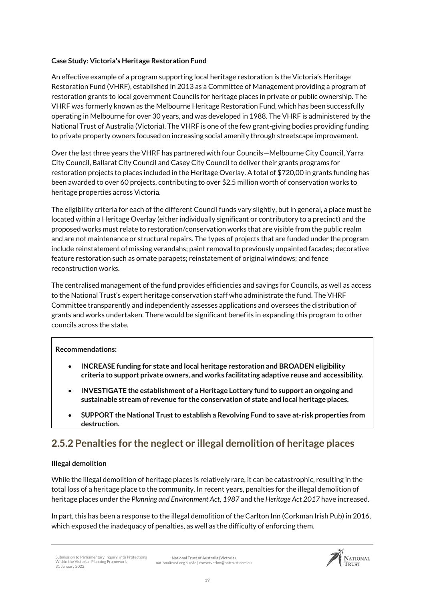#### **Case Study: Victoria's Heritage Restoration Fund**

An effective example of a program supporting local heritage restoration is the Victoria's Heritage Restoration Fund (VHRF), established in 2013 as a Committee of Management providing a program of restoration grants to local government Councils for heritage places in private or public ownership. The VHRF was formerly known as the Melbourne Heritage Restoration Fund, which has been successfully operating in Melbourne for over 30 years, and was developed in 1988. The VHRF is administered by the National Trust of Australia (Victoria). The VHRF is one of the few grant-giving bodies providing funding to private property owners focused on increasing social amenity through streetscape improvement.

Over the last three years the VHRF has partnered with four Councils—Melbourne City Council, Yarra City Council, Ballarat City Council and Casey City Council to deliver their grants programs for restoration projects to places included in the Heritage Overlay. A total of \$720,00 in grants funding has been awarded to over 60 projects, contributing to over \$2.5 million worth of conservation works to heritage properties across Victoria.

The eligibility criteria for each of the different Council funds vary slightly, but in general, a place must be located within a Heritage Overlay (either individually significant or contributory to a precinct) and the proposed works must relate to restoration/conservation works that are visible from the public realm and are not maintenance or structural repairs. The types of projects that are funded under the program include reinstatement of missing verandahs; paint removal to previously unpainted facades; decorative feature restoration such as ornate parapets; reinstatement of original windows; and fence reconstruction works.

The centralised management of the fund provides efficiencies and savings for Councils, as well as access to the National Trust's expert heritage conservation staff who administrate the fund. The VHRF Committee transparently and independently assesses applications and oversees the distribution of grants and works undertaken. There would be significant benefits in expanding this program to other councils across the state.

#### **Recommendations:**

- **INCREASE funding for state and local heritage restoration and BROADEN eligibility criteria to support private owners, and works facilitating adaptive reuse and accessibility.**
- **INVESTIGATE the establishment of a Heritage Lottery fund to support an ongoing and sustainable stream of revenue for the conservation of state and local heritage places.**
- **SUPPORT the National Trust to establish a Revolving Fund to save at-risk properties from destruction.**

### **2.5.2 Penalties for the neglect or illegal demolition of heritage places**

#### **Illegal demolition**

While the illegal demolition of heritage places is relatively rare, it can be catastrophic, resulting in the total loss of a heritage place to the community. In recent years, penalties for the illegal demolition of heritage places under the *Planning and Environment Act, 1987* and the *Heritage Act 2017* have increased.

In part, this has been a response to the illegal demolition of the Carlton Inn (Corkman Irish Pub) in 2016, which exposed the inadequacy of penalties, as well as the difficulty of enforcing them.

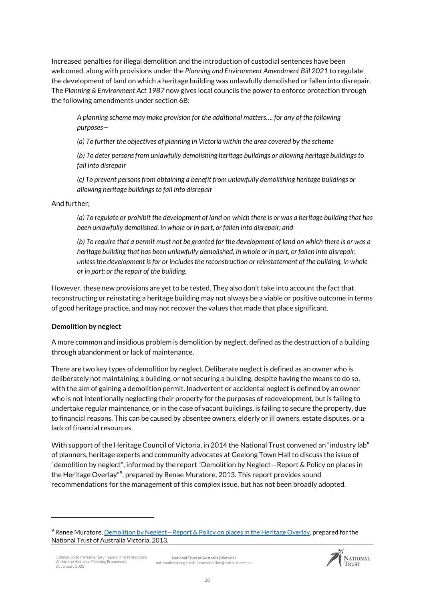Increased penalties for illegal demolition and the introduction of custodial sentences have been welcomed, along with provisions under the *Planning and Environment Amendment Bill 2021* to regulate the development of land on which a heritage building was unlawfully demolished or fallen into disrepair. The *Planning & Environment Act 1987* now gives local councils the power to enforce protection through the following amendments under section 6B:

*A planning scheme may make provision for the additional matters…. for any of the following purposes—*

*(a) To further the objectives of planning in Victoria within the area covered by the scheme*

*(b) To deter persons from unlawfully demolishing heritage buildings or allowing heritage buildings to fall into disrepair*

*(c) To prevent persons from obtaining a benefit from unlawfully demolishing heritage buildings or allowing heritage buildings to fall into disrepair*

#### And further;

*(a) To regulate or prohibit the development of land on which there is or was a heritage building that has been unlawfully demolished, in whole or in part, or fallen into disrepair; and*

*(b) To require that a permit must not be granted for the development of land on which there is or was a heritage building that has been unlawfully demolished, in whole or in part, or fallen into disrepair, unless the development is for or includes the reconstruction or reinstatement of the building, in whole or in part; or the repair of the building.*

However, these new provisions are yet to be tested. They also don't take into account the fact that reconstructing or reinstating a heritage building may not always be a viable or positive outcome in terms of good heritage practice, and may not recover the values that made that place significant.

#### **Demolition by neglect**

.

A more common and insidious problem is demolition by neglect, defined as the destruction of a building through abandonment or lack of maintenance.

There are two key types of demolition by neglect. Deliberate neglect is defined as an owner who is deliberately not maintaining a building, or not securing a building, despite having the means to do so, with the aim of gaining a demolition permit. Inadvertent or accidental neglect is defined by an owner who is not intentionally neglecting their property for the purposes of redevelopment, but is failing to undertake regular maintenance, or in the case of vacant buildings, is failing to secure the property, due to financial reasons. This can be caused by absentee owners, elderly or ill owners, estate disputes, or a lack of financial resources.

With support of the Heritage Council of Victoria, in 2014 the National Trust convened an "industry lab" of planners, heritage experts and community advocates at Geelong Town Hall to discuss the issue of "demolition by neglect", informed by the report "Demolition by Neglect—Report & Policy on places in the Heritage Overlay"<sup>9</sup>, prepared by Renae Muratore, 2013. This report provides sound recommendations for the management of this complex issue, but has not been broadly adopted.



<sup>&</sup>lt;sup>9</sup> Renee Muratore, Demolition by Neglect—[Report & Policy on places in the Heritage Overlay,](https://www.nationaltrust.org.au/wp-content/uploads/2015/09/DemolitionbyNeglect_ReneeMuratore_for_NTAV_Sept_2013.pdf) prepared for the National Trust of Australia Victoria, 2013.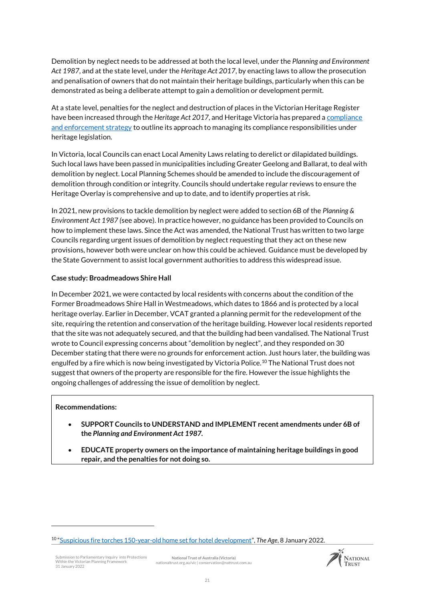Demolition by neglect needs to be addressed at both the local level, under the *Planning and Environment Act 1987*, and at the state level, under the *Heritage Act 2017*, by enacting laws to allow the prosecution and penalisation of owners that do not maintain their heritage buildings, particularly when this can be demonstrated as being a deliberate attempt to gain a demolition or development permit.

At a state level, penalties for the neglect and destruction of places in the Victorian Heritage Register have been increased through the *Heritage Act 2017*, and Heritage Victoria has prepared [a compliance](https://www.heritage.vic.gov.au/__data/assets/pdf_file/0032/425795/HV-Compliance-and-Enforcement-Strategy-final.pdf)  [and enforcement strategy](https://www.heritage.vic.gov.au/__data/assets/pdf_file/0032/425795/HV-Compliance-and-Enforcement-Strategy-final.pdf) to outline its approach to managing its compliance responsibilities under heritage legislation.

In Victoria, local Councils can enact Local Amenity Laws relating to derelict or dilapidated buildings. Such local laws have been passed in municipalities including Greater Geelong and Ballarat, to deal with demolition by neglect. Local Planning Schemes should be amended to include the discouragement of demolition through condition or integrity. Councils should undertake regular reviews to ensure the Heritage Overlay is comprehensive and up to date, and to identify properties at risk.

In 2021, new provisions to tackle demolition by neglect were added to section 6B of the *Planning & Environment Act 1987 (*see above). In practice however, no guidance has been provided to Councils on how to implement these laws. Since the Act was amended, the National Trust has written to two large Councils regarding urgent issues of demolition by neglect requesting that they act on these new provisions, however both were unclear on how this could be achieved. Guidance must be developed by the State Government to assist local government authorities to address this widespread issue.

#### **Case study: Broadmeadows Shire Hall**

In December 2021, we were contacted by local residents with concerns about the condition of the Former Broadmeadows Shire Hall in Westmeadows, which dates to 1866 and is protected by a local heritage overlay. Earlier in December, VCAT granted a planning permit for the redevelopment of the site, requiring the retention and conservation of the heritage building. However local residents reported that the site was not adequately secured, and that the building had been vandalised. The National Trust wrote to Council expressing concerns about "demolition by neglect", and they responded on 30 December stating that there were no grounds for enforcement action. Just hours later, the building was engulfed by a fire which is now being investigated by Victoria Police.<sup>10</sup> The National Trust does not suggest that owners of the property are responsible for the fire. However the issue highlights the ongoing challenges of addressing the issue of demolition by neglect.

#### **Recommendations:**

<u>.</u>

- **SUPPORT Councils to UNDERSTAND and IMPLEMENT recent amendments under 6B of the** *Planning and Environment Act 1987.*
- **EDUCATE property owners on the importance of maintaining heritage buildings in good repair, and the penalties for not doing so.**



<sup>10</sup> "[Suspicious fire torches 150-year-old home set for hotel development](https://www.theage.com.au/national/victoria/suspicious-fire-torches-150-year-old-home-set-for-hotel-development-20220106-p59m8q.html)", *The Age*, 8 January 2022.

Submission to Parliamentary Inquiry into Protections Within the Victorian Planning Framework 31 January 2022 **National Trust of Australia (Victoria)** nationaltrust.org.au/vic | conservation@nattrust.com.au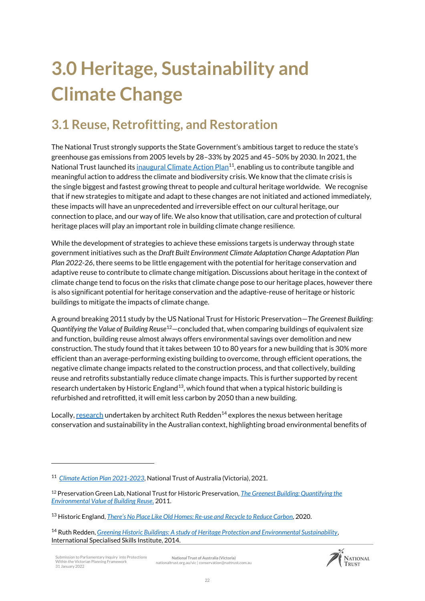# <span id="page-21-0"></span>**3.0 Heritage, Sustainability and Climate Change**

# <span id="page-21-1"></span>**3.1 Reuse, Retrofitting, and Restoration**

The National Trust strongly supports the State Government's ambitious target to reduce the state's greenhouse gas emissions from 2005 levels by 28–33% by 2025 and 45–50% by 2030. In 2021, the National Trust launched its **inaugural Climate Action Plan<sup>11</sup>, enabling** us to contribute tangible and meaningful action to address the climate and biodiversity crisis. We know that the climate crisis is the single biggest and fastest growing threat to people and cultural heritage worldwide. We recognise that if new strategies to mitigate and adapt to these changes are not initiated and actioned immediately, these impacts will have an unprecedented and irreversible effect on our cultural heritage, our connection to place, and our way of life. We also know that utilisation, care and protection of cultural heritage places will play an important role in building climate change resilience.

While the development of strategies to achieve these emissions targets is underway through state government initiatives such as the *Draft Built Environment Climate Adaptation Change Adaptation Plan Plan 2022-26*, there seems to be little engagement with the potential for heritage conservation and adaptive reuse to contribute to climate change mitigation. Discussions about heritage in the context of climate change tend to focus on the risks that climate change pose to our heritage places, however there is also significant potential for heritage conservation and the adaptive-reuse of heritage or historic buildings to mitigate the impacts of climate change.

A ground breaking 2011 study by the US National Trust for Historic Preservation—*The Greenest Building: Quantifying the Value of Building Reuse*<sup>12</sup>—concluded that, when comparing buildings of equivalent size and function, building reuse almost always offers environmental savings over demolition and new construction. The study found that it takes between 10 to 80 years for a new building that is 30% more efficient than an average-performing existing building to overcome, through efficient operations, the negative climate change impacts related to the construction process, and that collectively, building reuse and retrofits substantially reduce climate change impacts. This is further supported by recent research undertaken by Historic England<sup>13</sup>, which found that when a typical historic building is refurbished and retrofitted, it will emit less carbon by 2050 than a new building.

Locally[, research](https://www.issinstitute.org.au/wp-content/uploads/2015/02/REDDEN-Report-FINAL-LowRes.pdf) undertaken by architect Ruth Redden<sup>14</sup> explores the nexus between heritage conservation and sustainability in the Australian context, highlighting broad environmental benefits of

<u>.</u>



<sup>11</sup> *[Climate Action Plan 2021-2023](https://mk0nationaltruse1iiv.kinstacdn.com/wp-content/uploads/2021/06/2021-Climate-Action-Plan.pdf)*, National Trust of Australia (Victoria), 2021.

<sup>12</sup> Preservation Green Lab, National Trust for Historic Preservation, *[The Greenest Building: Quantifying the](https://living-future.org/wp-content/uploads/2016/11/The_Greenest_Building.pdf)  [Environmental Value of Building Reuse](https://living-future.org/wp-content/uploads/2016/11/The_Greenest_Building.pdf)*, 2011.

<sup>13</sup> Historic England, *[There's No Place Like Old Homes: Re](https://historicengland.org.uk/content/heritage-counts/pub/2019/hc2019-re-use-recycle-to-reduce-carbon/)-use and Recycle to Reduce Carbon*, 2020.

<sup>14</sup> Ruth Redden, *[Greening Historic Buildings: A study of Heritage Protection and Environmental Sustainability](https://www.issinstitute.org.au/wp-content/uploads/2015/02/REDDEN-Report-FINAL-LowRes.pdf)*, International Specialised Skills Institute, 2014.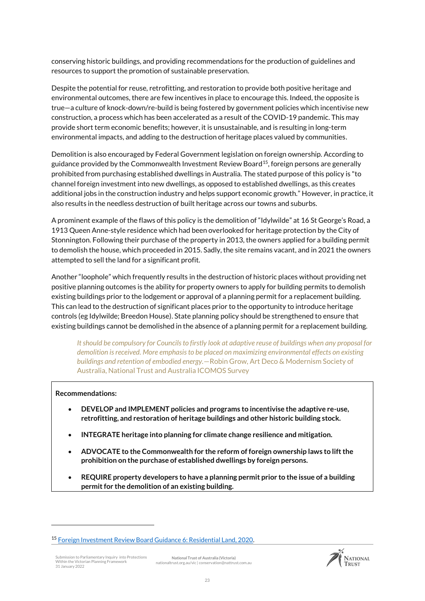conserving historic buildings, and providing recommendations for the production of guidelines and resources to support the promotion of sustainable preservation.

Despite the potential for reuse, retrofitting, and restoration to provide both positive heritage and environmental outcomes, there are few incentives in place to encourage this. Indeed, the opposite is true—a culture of knock-down/re-build is being fostered by government policies which incentivise new construction, a process which has been accelerated as a result of the COVID-19 pandemic. This may provide short term economic benefits; however, it is unsustainable, and is resulting in long-term environmental impacts, and adding to the destruction of heritage places valued by communities.

Demolition is also encouraged by Federal Government legislation on foreign ownership. According to guidance provided by the Commonwealth Investment Review Board<sup>15</sup>, foreign persons are generally prohibited from purchasing established dwellings in Australia. The stated purpose of this policy is "to channel foreign investment into new dwellings, as opposed to established dwellings, as this creates additional jobs in the construction industry and helps support economic growth." However, in practice, it also results in the needless destruction of built heritage across our towns and suburbs.

A prominent example of the flaws of this policy is the demolition of "Idylwilde" at 16 St George's Road, a 1913 Queen Anne-style residence which had been overlooked for heritage protection by the City of Stonnington. Following their purchase of the property in 2013, the owners applied for a building permit to demolish the house, which proceeded in 2015. Sadly, the site remains vacant, and in 2021 the owners attempted to sell the land for a significant profit.

Another "loophole" which frequently results in the destruction of historic places without providing net positive planning outcomes is the ability for property owners to apply for building permits to demolish existing buildings prior to the lodgement or approval of a planning permit for a replacement building. This can lead to the destruction of significant places prior to the opportunity to introduce heritage controls (eg Idylwilde; Breedon House). State planning policy should be strengthened to ensure that existing buildings cannot be demolished in the absence of a planning permit for a replacement building.

*It should be compulsory for Councils to firstly look at adaptive reuse of buildings when any proposal for demolition is received. More emphasis to be placed on maximizing environmental effects on existing buildings and retention of embodied energy.*—Robin Grow, Art Deco & Modernism Society of Australia, National Trust and Australia ICOMOS Survey

#### **Recommendations:**

- **DEVELOP and IMPLEMENT policies and programs to incentivise the adaptive re-use, retrofitting, and restoration of heritage buildings and other historic building stock.**
- **INTEGRATE heritage into planning for climate change resilience and mitigation.**
- **ADVOCATE to the Commonwealth for the reform of foreign ownership laws to lift the prohibition on the purchase of established dwellings by foreign persons.**
- **REQUIRE property developers to have a planning permit prior to the issue of a building permit for the demolition of an existing building.**

Submission to Parliamentary Inquiry into Protections Within the Victorian Planning Framework 31 January 2022

.



<sup>15</sup> [Foreign Investment Review Board Guidance 6: Residential Land, 2020.](https://firb.gov.au/sites/firb.gov.au/files/guidance-notes/G06-Residential_land.pdf)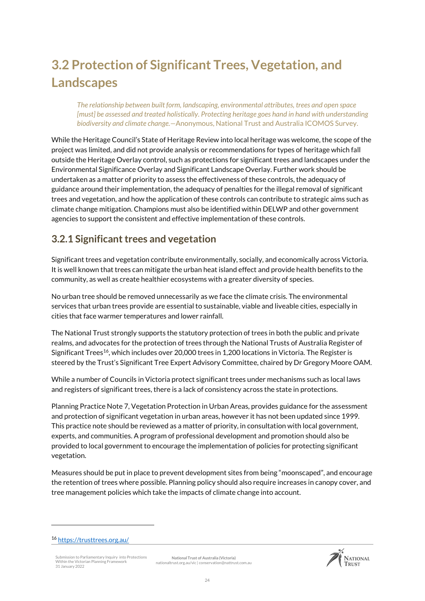# <span id="page-23-0"></span>**3.2 Protection of Significant Trees, Vegetation, and Landscapes**

*The relationship between built form, landscaping, environmental attributes, trees and open space [must] be assessed and treated holistically. Protecting heritage goes hand in hand with understanding biodiversity and climate change.—*Anonymous, National Trust and Australia ICOMOS Survey.

While the Heritage Council's State of Heritage Review into local heritage was welcome, the scope of the project was limited, and did not provide analysis or recommendations for types of heritage which fall outside the Heritage Overlay control, such as protections for significant trees and landscapes under the Environmental Significance Overlay and Significant Landscape Overlay. Further work should be undertaken as a matter of priority to assess the effectiveness of these controls, the adequacy of guidance around their implementation, the adequacy of penalties for the illegal removal of significant trees and vegetation, and how the application of these controls can contribute to strategic aims such as climate change mitigation. Champions must also be identified within DELWP and other government agencies to support the consistent and effective implementation of these controls.

### **3.2.1 Significant trees and vegetation**

Significant trees and vegetation contribute environmentally, socially, and economically across Victoria. It is well known that trees can mitigate the urban heat island effect and provide health benefits to the community, as well as create healthier ecosystems with a greater diversity of species.

No urban tree should be removed unnecessarily as we face the climate crisis. The environmental services that urban trees provide are essential to sustainable, viable and liveable cities, especially in cities that face warmer temperatures and lower rainfall.

The National Trust strongly supports the statutory protection of trees in both the public and private realms, and advocates for the protection of trees through the National Trusts of Australia Register of Significant Trees<sup>16</sup>, which includes over 20,000 trees in 1,200 locations in Victoria. The Register is steered by the Trust's Significant Tree Expert Advisory Committee, chaired by Dr Gregory Moore OAM.

While a number of Councils in Victoria protect significant trees under mechanisms such as local laws and registers of significant trees, there is a lack of consistency across the state in protections.

Planning Practice Note 7, Vegetation Protection in Urban Areas, provides guidance for the assessment and protection of significant vegetation in urban areas, however it has not been updated since 1999. This practice note should be reviewed as a matter of priority, in consultation with local government, experts, and communities. A program of professional development and promotion should also be provided to local government to encourage the implementation of policies for protecting significant vegetation.

Measures should be put in place to prevent development sites from being "moonscaped", and encourage the retention of trees where possible. Planning policy should also require increases in canopy cover, and tree management policies which take the impacts of climate change into account.

.

Submission to Parliamentary Inquiry into Protections Within the Victorian Planning Framework 31 January 2022





<sup>16</sup> <https://trusttrees.org.au/>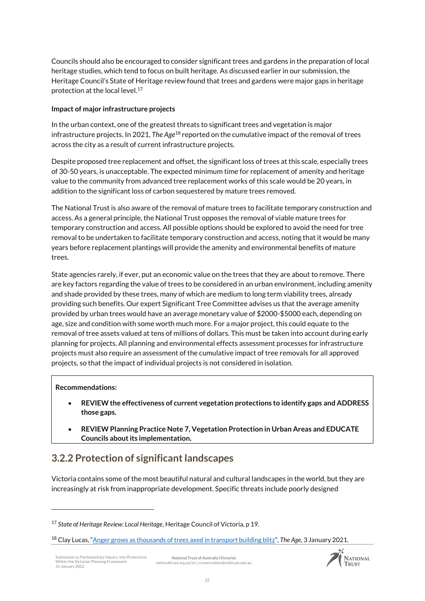Councils should also be encouraged to consider significant trees and gardens in the preparation of local heritage studies, which tend to focus on built heritage. As discussed earlier in our submission, the Heritage Council's State of Heritage review found that trees and gardens were major gaps in heritage protection at the local level.<sup>17</sup>

#### **Impact of major infrastructure projects**

In the urban context, one of the greatest threats to significant trees and vegetation is major infrastructure projects. In 2021, *The Age*<sup>18</sup> reported on the cumulative impact of the removal of trees across the city as a result of current infrastructure projects.

Despite proposed tree replacement and offset, the significant loss of trees at this scale, especially trees of 30-50 years, is unacceptable. The expected minimum time for replacement of amenity and heritage value to the community from advanced tree replacement works of this scale would be 20 years, in addition to the significant loss of carbon sequestered by mature trees removed.

The National Trust is also aware of the removal of mature trees to facilitate temporary construction and access. As a general principle, the National Trust opposes the removal of viable mature trees for temporary construction and access. All possible options should be explored to avoid the need for tree removal to be undertaken to facilitate temporary construction and access, noting that it would be many years before replacement plantings will provide the amenity and environmental benefits of mature trees.

State agencies rarely, if ever, put an economic value on the trees that they are about to remove. There are key factors regarding the value of trees to be considered in an urban environment, including amenity and shade provided by these trees, many of which are medium to long term viability trees, already providing such benefits. Our expert Significant Tree Committee advises us that the average amenity provided by urban trees would have an average monetary value of \$2000-\$5000 each, depending on age, size and condition with some worth much more. For a major project, this could equate to the removal of tree assets valued at tens of millions of dollars. This must be taken into account during early planning for projects. All planning and environmental effects assessment processes for infrastructure projects must also require an assessment of the cumulative impact of tree removals for all approved projects, so that the impact of individual projects is not considered in isolation.

#### **Recommendations:**

<u>.</u>

- **REVIEW the effectiveness of current vegetation protections to identify gaps and ADDRESS those gaps.**
- **REVIEW Planning Practice Note 7, Vegetation Protection in Urban Areas and EDUCATE Councils about its implementation.**

### **3.2.2 Protection of significant landscapes**

Victoria contains some of the most beautiful natural and cultural landscapes in the world, but they are increasingly at risk from inappropriate development. Specific threats include poorly designed



<sup>17</sup> *State of Heritage Review: Local Heritage*, Heritage Council of Victoria, p 19.

<sup>18</sup> Clay Lucas, "[Anger grows as thousands of trees axed in transport building blitz](https://www.theage.com.au/national/victoria/anger-as-thousands-of-trees-axed-in-transport-building-blitz-20210101-p56r6j.html)", *The Age*, 3 January 2021.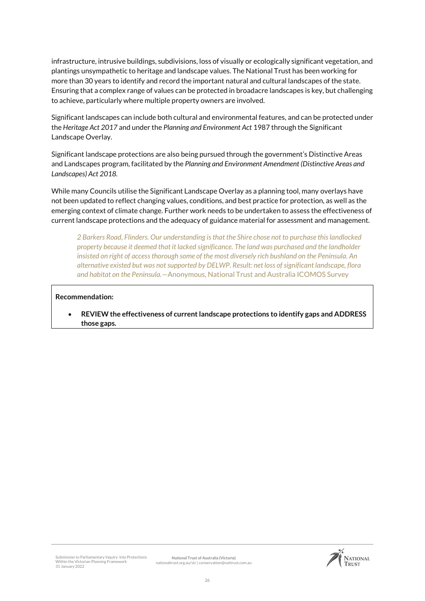infrastructure, intrusive buildings, subdivisions, loss of visually or ecologically significant vegetation, and plantings unsympathetic to heritage and landscape values. The National Trust has been working for more than 30 years to identify and record the important natural and cultural landscapes of the state. Ensuring that a complex range of values can be protected in broadacre landscapes is key, but challenging to achieve, particularly where multiple property owners are involved.

Significant landscapes can include both cultural and environmental features, and can be protected under the *Heritage Act 2017* and under the *Planning and Environment Act* 1987 through the Significant Landscape Overlay.

Significant landscape protections are also being pursued through the government's Distinctive Areas and Landscapes program, facilitated by the *Planning and Environment Amendment (Distinctive Areas and Landscapes) Act 2018.*

While many Councils utilise the Significant Landscape Overlay as a planning tool, many overlays have not been updated to reflect changing values, conditions, and best practice for protection, as well as the emerging context of climate change. Further work needs to be undertaken to assess the effectiveness of current landscape protections and the adequacy of guidance material for assessment and management.

*2 Barkers Road, Flinders. Our understanding is that the Shire chose not to purchase this landlocked property because it deemed that it lacked significance. The land was purchased and the landholder insisted on right of access thorough some of the most diversely rich bushland on the Peninsula. An alternative existed but was not supported by DELWP. Result: net loss of significant landscape, flora and habitat on the Peninsula.*—Anonymous, National Trust and Australia ICOMOS Survey

#### **Recommendation:**

 **REVIEW the effectiveness of current landscape protections to identify gaps and ADDRESS those gaps.**

Submission to Parliamentary Inquiry into Protections Within the Victorian Planning Framework 31 January 2022

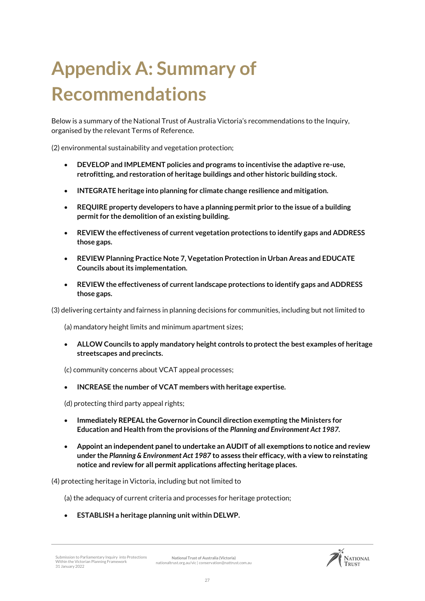# <span id="page-26-0"></span>**Appendix A: Summary of Recommendations**

Below is a summary of the National Trust of Australia Victoria's recommendations to the Inquiry, organised by the relevant Terms of Reference.

(2) environmental sustainability and vegetation protection;

- **DEVELOP and IMPLEMENT policies and programs to incentivise the adaptive re-use, retrofitting, and restoration of heritage buildings and other historic building stock.**
- **INTEGRATE heritage into planning for climate change resilience and mitigation.**
- **REQUIRE property developers to have a planning permit prior to the issue of a building permit for the demolition of an existing building.**
- **REVIEW the effectiveness of current vegetation protections to identify gaps and ADDRESS those gaps.**
- **REVIEW Planning Practice Note 7, Vegetation Protection in Urban Areas and EDUCATE Councils about its implementation.**
- **REVIEW the effectiveness of current landscape protections to identify gaps and ADDRESS those gaps.**

(3) delivering certainty and fairness in planning decisions for communities, including but not limited to

(a) mandatory height limits and minimum apartment sizes;

 **ALLOW Councils to apply mandatory height controls to protect the best examples of heritage streetscapes and precincts.**

(c) community concerns about VCAT appeal processes;

**INCREASE the number of VCAT members with heritage expertise.**

(d) protecting third party appeal rights;

- **Immediately REPEAL the Governor in Council direction exempting the Ministers for Education and Health from the provisions of the** *Planning and Environment Act 1987.*
- **Appoint an independent panel to undertake an AUDIT of all exemptions to notice and review under the** *Planning & Environment Act 1987* **to assess their efficacy, with a view to reinstating notice and review for all permit applications affecting heritage places.**

(4) protecting heritage in Victoria, including but not limited to

(a) the adequacy of current criteria and processes for heritage protection;

**ESTABLISH a heritage planning unit within DELWP.**

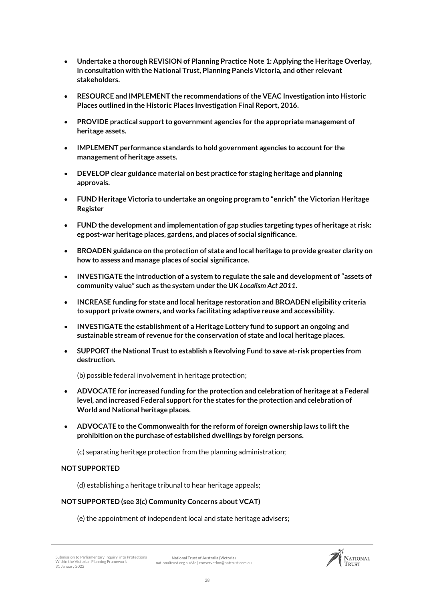- **Undertake a thorough REVISION of Planning Practice Note 1: Applying the Heritage Overlay, in consultation with the National Trust, Planning Panels Victoria, and other relevant stakeholders.**
- **RESOURCE and IMPLEMENT the recommendations of the VEAC Investigation into Historic Places outlined in the Historic Places Investigation Final Report, 2016.**
- **PROVIDE practical support to government agencies for the appropriate management of heritage assets.**
- **IMPLEMENT performance standards to hold government agencies to account for the management of heritage assets.**
- **DEVELOP clear guidance material on best practice for staging heritage and planning approvals.**
- **FUND Heritage Victoria to undertake an ongoing program to "enrich" the Victorian Heritage Register**
- **FUND the development and implementation of gap studies targeting types of heritage at risk: eg post-war heritage places, gardens, and places of social significance.**
- **BROADEN guidance on the protection of state and local heritage to provide greater clarity on how to assess and manage places of social significance.**
- **INVESTIGATE the introduction of a system to regulate the sale and development of "assets of community value" such as the system under the UK** *Localism Act 2011***.**
- **INCREASE funding for state and local heritage restoration and BROADEN eligibility criteria to support private owners, and works facilitating adaptive reuse and accessibility.**
- **INVESTIGATE the establishment of a Heritage Lottery fund to support an ongoing and sustainable stream of revenue for the conservation of state and local heritage places.**
- **SUPPORT the National Trust to establish a Revolving Fund to save at-risk properties from destruction.**

(b) possible federal involvement in heritage protection;

- **ADVOCATE for increased funding for the protection and celebration of heritage at a Federal level, and increased Federal support for the states for the protection and celebration of World and National heritage places.**
- **ADVOCATE to the Commonwealth for the reform of foreign ownership laws to lift the prohibition on the purchase of established dwellings by foreign persons.**

(c) separating heritage protection from the planning administration;

#### **NOT SUPPORTED**

(d) establishing a heritage tribunal to hear heritage appeals;

#### **NOT SUPPORTED (see 3(c) Community Concerns about VCAT)**

(e) the appointment of independent local and state heritage advisers;

Submission to Parliamentary Inquiry into Protections Within the Victorian Planning Framework 31 January 2022 **National Trust of Australia (Victoria)** nationaltrust.org.au/vic | conservation@nattrust.com.au